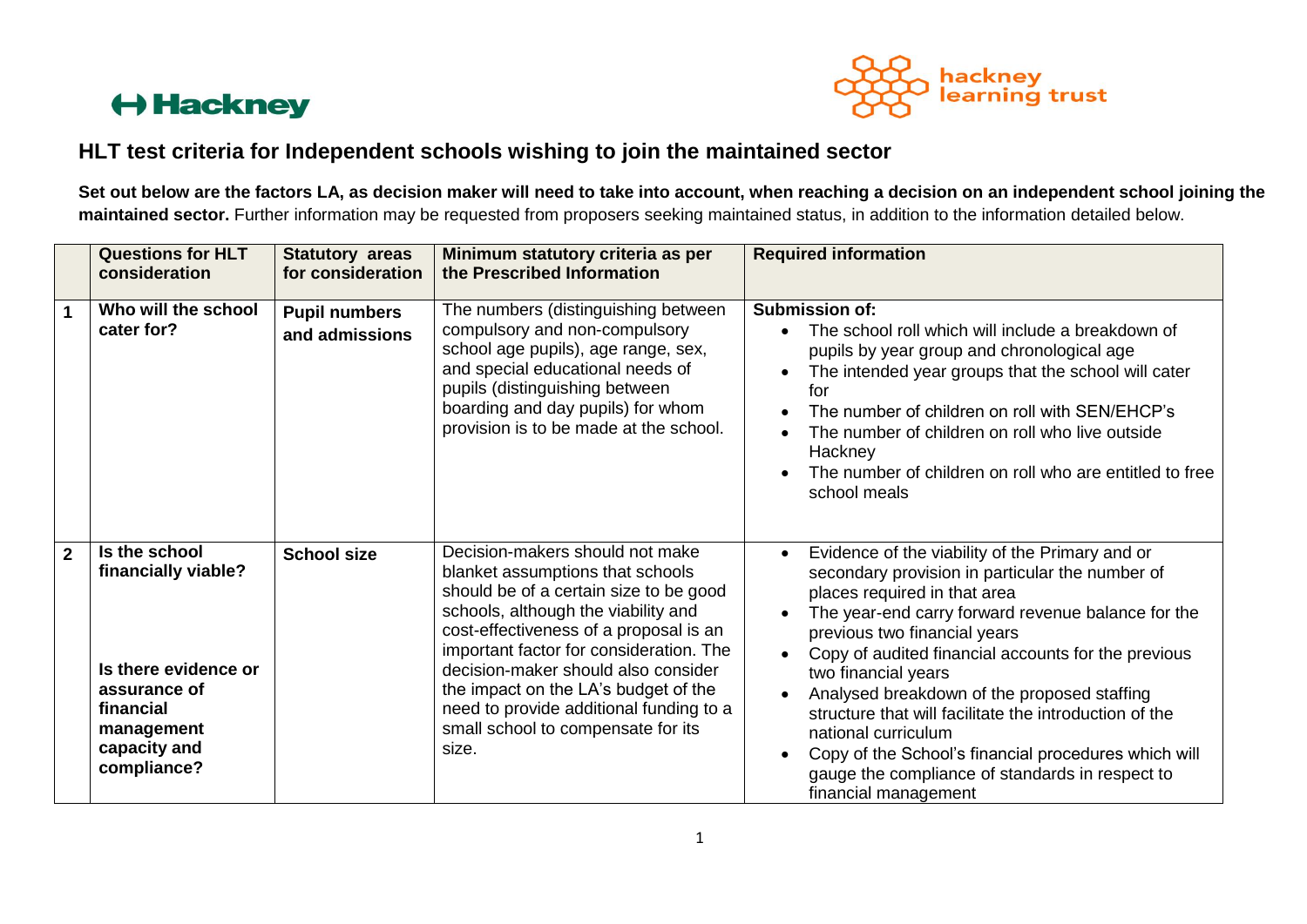

#### **HLT test criteria for Independent schools wishing to join the maintained sector**

**Set out below are the factors LA, as decision maker will need to take into account, when reaching a decision on an independent school joining the maintained sector.** Further information may be requested from proposers seeking maintained status, in addition to the information detailed below.

|                | <b>Questions for HLT</b><br>consideration                                                                                              | <b>Statutory areas</b><br>for consideration | Minimum statutory criteria as per<br>the Prescribed Information                                                                                                                                                                                                                                                                                                                                                    | <b>Required information</b>                                                                                                                                                                                                                                                                                                                                                                                                                                                                                                                                               |
|----------------|----------------------------------------------------------------------------------------------------------------------------------------|---------------------------------------------|--------------------------------------------------------------------------------------------------------------------------------------------------------------------------------------------------------------------------------------------------------------------------------------------------------------------------------------------------------------------------------------------------------------------|---------------------------------------------------------------------------------------------------------------------------------------------------------------------------------------------------------------------------------------------------------------------------------------------------------------------------------------------------------------------------------------------------------------------------------------------------------------------------------------------------------------------------------------------------------------------------|
| $\mathbf{1}$   | Who will the school<br>cater for?                                                                                                      | <b>Pupil numbers</b><br>and admissions      | The numbers (distinguishing between<br>compulsory and non-compulsory<br>school age pupils), age range, sex,<br>and special educational needs of<br>pupils (distinguishing between<br>boarding and day pupils) for whom<br>provision is to be made at the school.                                                                                                                                                   | <b>Submission of:</b><br>The school roll which will include a breakdown of<br>pupils by year group and chronological age<br>The intended year groups that the school will cater<br>for<br>The number of children on roll with SEN/EHCP's<br>The number of children on roll who live outside<br>Hackney<br>The number of children on roll who are entitled to free<br>school meals                                                                                                                                                                                         |
| $\overline{2}$ | Is the school<br>financially viable?<br>Is there evidence or<br>assurance of<br>financial<br>management<br>capacity and<br>compliance? | <b>School size</b>                          | Decision-makers should not make<br>blanket assumptions that schools<br>should be of a certain size to be good<br>schools, although the viability and<br>cost-effectiveness of a proposal is an<br>important factor for consideration. The<br>decision-maker should also consider<br>the impact on the LA's budget of the<br>need to provide additional funding to a<br>small school to compensate for its<br>size. | Evidence of the viability of the Primary and or<br>secondary provision in particular the number of<br>places required in that area<br>The year-end carry forward revenue balance for the<br>previous two financial years<br>Copy of audited financial accounts for the previous<br>two financial years<br>Analysed breakdown of the proposed staffing<br>structure that will facilitate the introduction of the<br>national curriculum<br>Copy of the School's financial procedures which will<br>gauge the compliance of standards in respect to<br>financial management |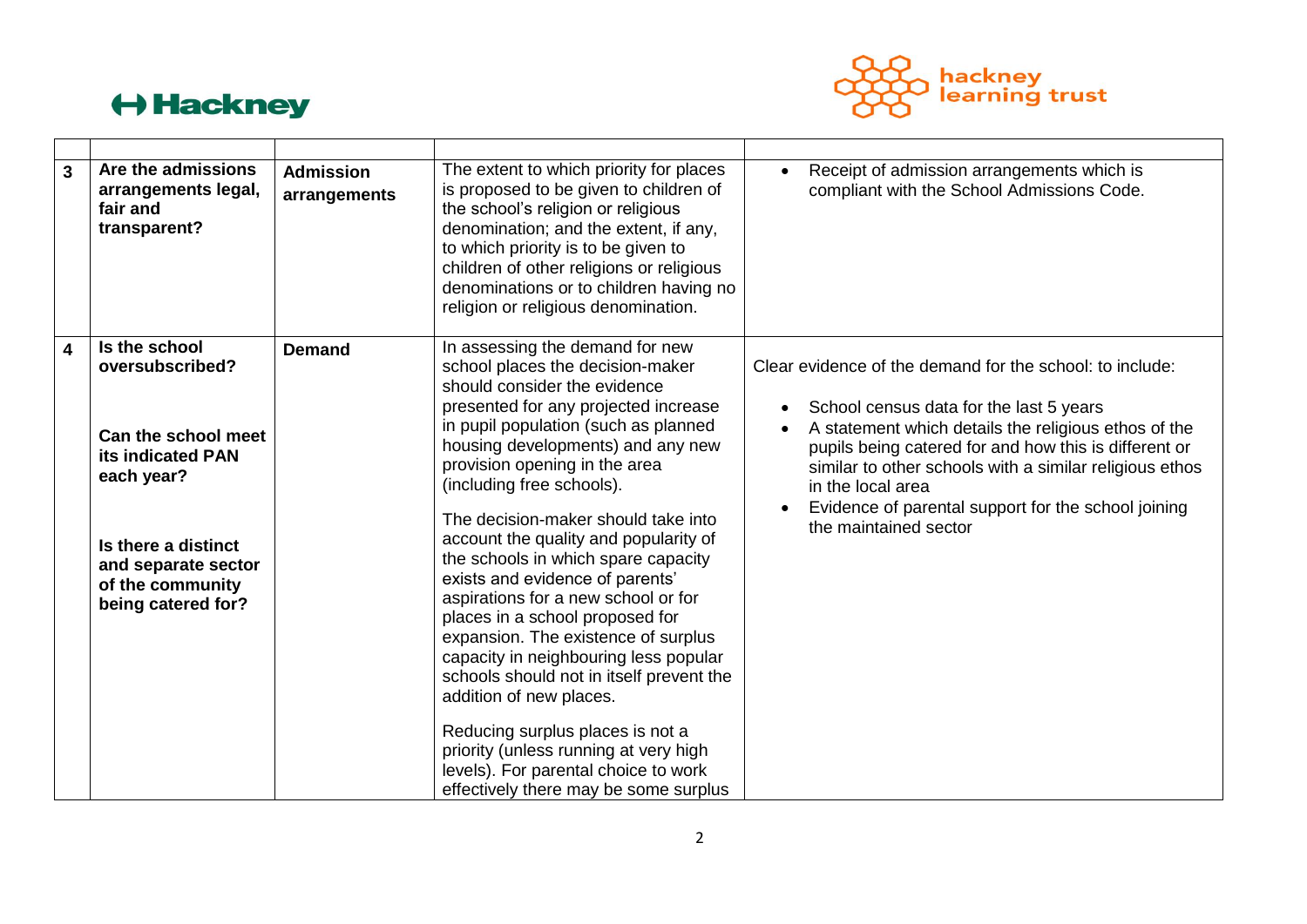

| $\overline{3}$          | Are the admissions<br>arrangements legal,<br>fair and<br>transparent?                                                                                                              | <b>Admission</b><br>arrangements | The extent to which priority for places<br>is proposed to be given to children of<br>the school's religion or religious<br>denomination; and the extent, if any,<br>to which priority is to be given to<br>children of other religions or religious<br>denominations or to children having no<br>religion or religious denomination.                                                                                                                                                                                                                                                                                                                                                                                                                                                                                                            | Receipt of admission arrangements which is<br>compliant with the School Admissions Code.                                                                                                                                                                                                                                                                                             |
|-------------------------|------------------------------------------------------------------------------------------------------------------------------------------------------------------------------------|----------------------------------|-------------------------------------------------------------------------------------------------------------------------------------------------------------------------------------------------------------------------------------------------------------------------------------------------------------------------------------------------------------------------------------------------------------------------------------------------------------------------------------------------------------------------------------------------------------------------------------------------------------------------------------------------------------------------------------------------------------------------------------------------------------------------------------------------------------------------------------------------|--------------------------------------------------------------------------------------------------------------------------------------------------------------------------------------------------------------------------------------------------------------------------------------------------------------------------------------------------------------------------------------|
| $\overline{\mathbf{4}}$ | Is the school<br>oversubscribed?<br>Can the school meet<br>its indicated PAN<br>each year?<br>Is there a distinct<br>and separate sector<br>of the community<br>being catered for? | <b>Demand</b>                    | In assessing the demand for new<br>school places the decision-maker<br>should consider the evidence<br>presented for any projected increase<br>in pupil population (such as planned<br>housing developments) and any new<br>provision opening in the area<br>(including free schools).<br>The decision-maker should take into<br>account the quality and popularity of<br>the schools in which spare capacity<br>exists and evidence of parents'<br>aspirations for a new school or for<br>places in a school proposed for<br>expansion. The existence of surplus<br>capacity in neighbouring less popular<br>schools should not in itself prevent the<br>addition of new places.<br>Reducing surplus places is not a<br>priority (unless running at very high<br>levels). For parental choice to work<br>effectively there may be some surplus | Clear evidence of the demand for the school: to include:<br>School census data for the last 5 years<br>A statement which details the religious ethos of the<br>pupils being catered for and how this is different or<br>similar to other schools with a similar religious ethos<br>in the local area<br>Evidence of parental support for the school joining<br>the maintained sector |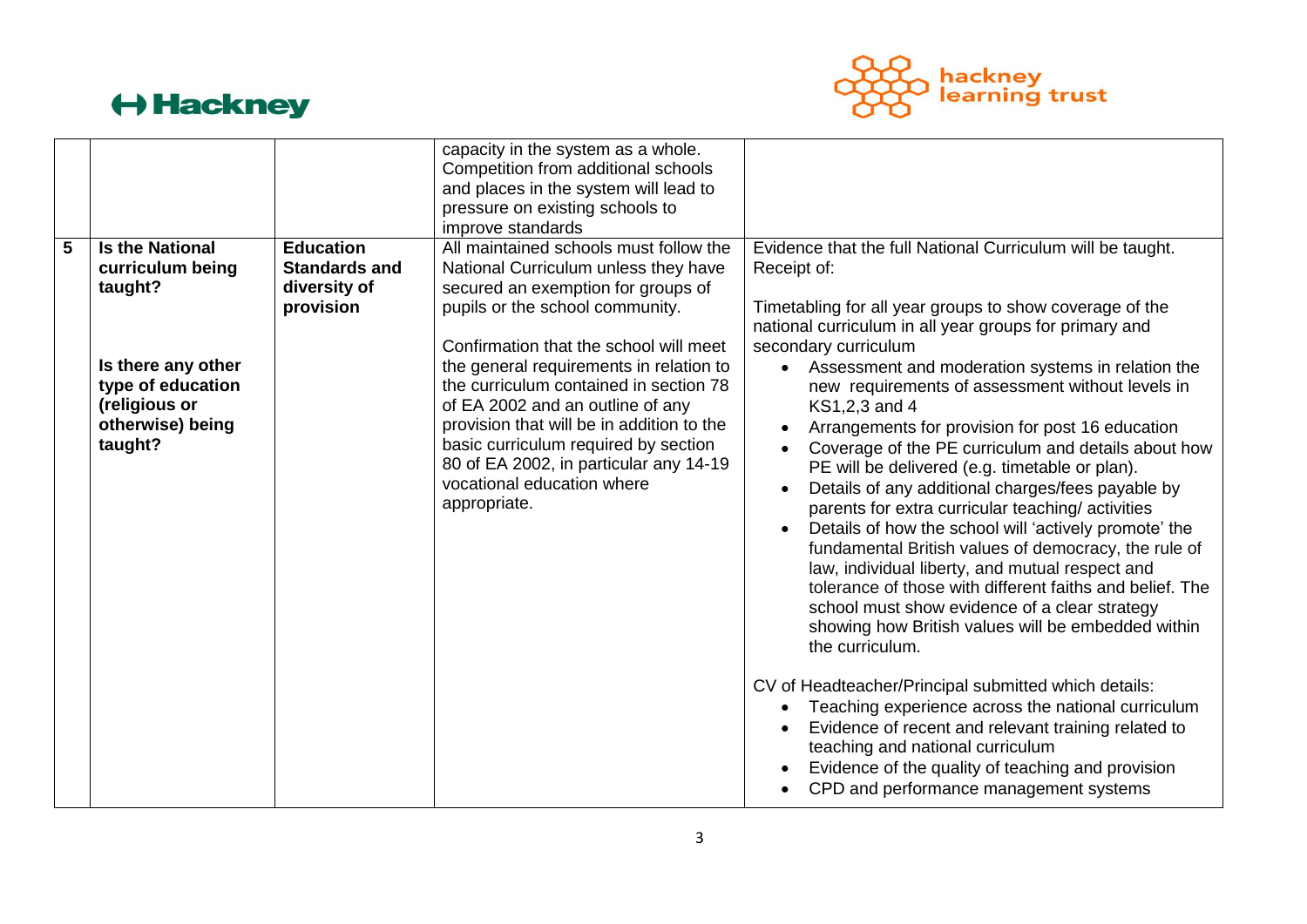

|   |                                                                                                                                                  |                                                                       | capacity in the system as a whole.<br>Competition from additional schools<br>and places in the system will lead to<br>pressure on existing schools to<br>improve standards                                                                                                                                                                                                                                                                                                                              |                                                                                                                                                                                                                                                                                                                                                                                                                                                                                                                                                                                                                                                                                                                                                                                                                                                                                                                                                                                                                         |
|---|--------------------------------------------------------------------------------------------------------------------------------------------------|-----------------------------------------------------------------------|---------------------------------------------------------------------------------------------------------------------------------------------------------------------------------------------------------------------------------------------------------------------------------------------------------------------------------------------------------------------------------------------------------------------------------------------------------------------------------------------------------|-------------------------------------------------------------------------------------------------------------------------------------------------------------------------------------------------------------------------------------------------------------------------------------------------------------------------------------------------------------------------------------------------------------------------------------------------------------------------------------------------------------------------------------------------------------------------------------------------------------------------------------------------------------------------------------------------------------------------------------------------------------------------------------------------------------------------------------------------------------------------------------------------------------------------------------------------------------------------------------------------------------------------|
| 5 | <b>Is the National</b><br>curriculum being<br>taught?<br>Is there any other<br>type of education<br>(religious or<br>otherwise) being<br>taught? | <b>Education</b><br><b>Standards and</b><br>diversity of<br>provision | All maintained schools must follow the<br>National Curriculum unless they have<br>secured an exemption for groups of<br>pupils or the school community.<br>Confirmation that the school will meet<br>the general requirements in relation to<br>the curriculum contained in section 78<br>of EA 2002 and an outline of any<br>provision that will be in addition to the<br>basic curriculum required by section<br>80 of EA 2002, in particular any 14-19<br>vocational education where<br>appropriate. | Evidence that the full National Curriculum will be taught.<br>Receipt of:<br>Timetabling for all year groups to show coverage of the<br>national curriculum in all year groups for primary and<br>secondary curriculum<br>Assessment and moderation systems in relation the<br>$\bullet$<br>new requirements of assessment without levels in<br>KS1,2,3 and 4<br>Arrangements for provision for post 16 education<br>$\bullet$<br>Coverage of the PE curriculum and details about how<br>PE will be delivered (e.g. timetable or plan).<br>Details of any additional charges/fees payable by<br>$\bullet$<br>parents for extra curricular teaching/activities<br>Details of how the school will 'actively promote' the<br>fundamental British values of democracy, the rule of<br>law, individual liberty, and mutual respect and<br>tolerance of those with different faiths and belief. The<br>school must show evidence of a clear strategy<br>showing how British values will be embedded within<br>the curriculum. |
|   |                                                                                                                                                  |                                                                       |                                                                                                                                                                                                                                                                                                                                                                                                                                                                                                         | CV of Headteacher/Principal submitted which details:<br>Teaching experience across the national curriculum<br>Evidence of recent and relevant training related to<br>teaching and national curriculum<br>Evidence of the quality of teaching and provision<br>CPD and performance management systems                                                                                                                                                                                                                                                                                                                                                                                                                                                                                                                                                                                                                                                                                                                    |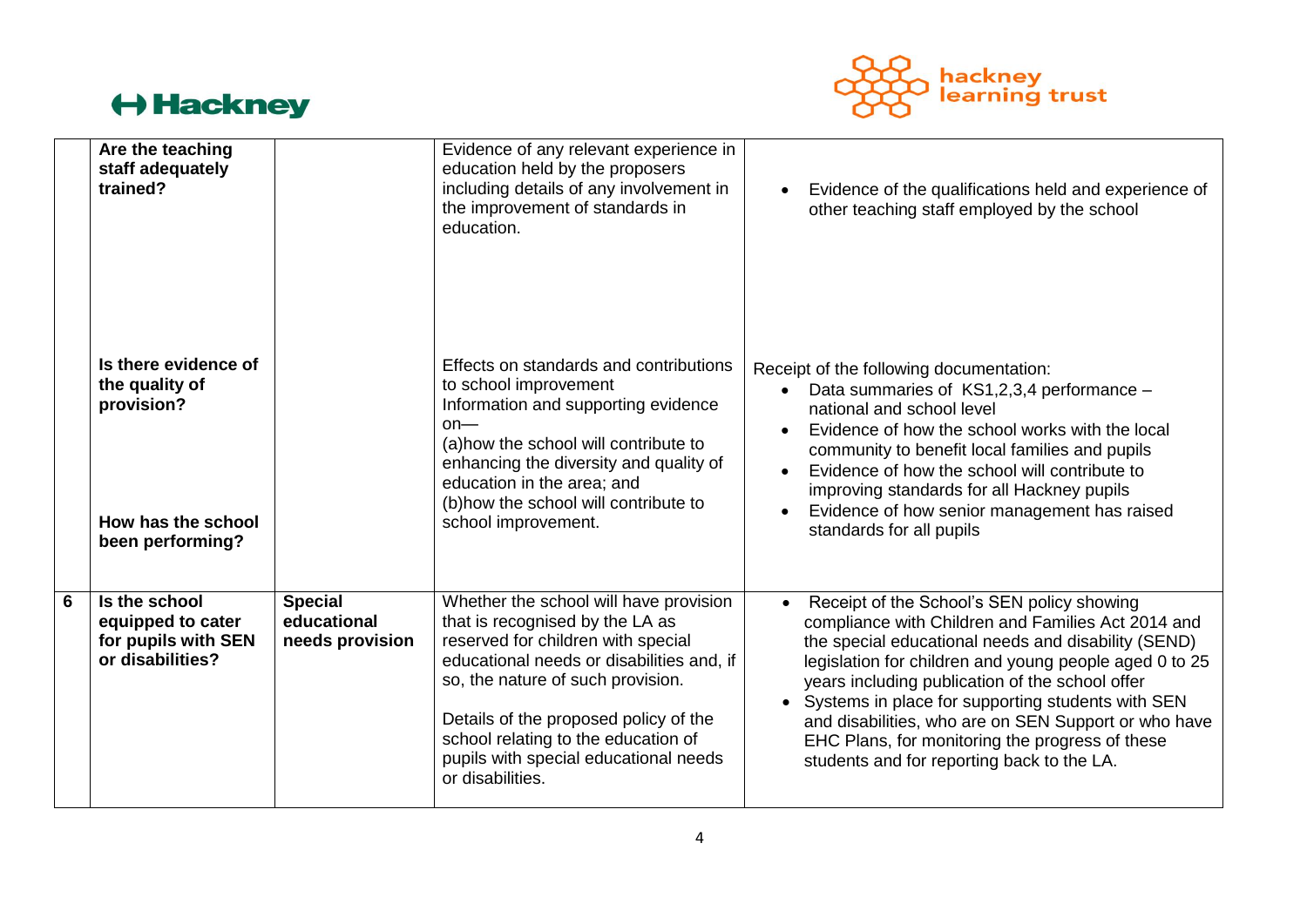

|   | Are the teaching<br>staff adequately<br>trained?                                               |                                                  | Evidence of any relevant experience in<br>education held by the proposers<br>including details of any involvement in<br>the improvement of standards in<br>education.                                                                                                                                                                          | Evidence of the qualifications held and experience of<br>other teaching staff employed by the school                                                                                                                                                                                                                                                                                                                                                                                              |
|---|------------------------------------------------------------------------------------------------|--------------------------------------------------|------------------------------------------------------------------------------------------------------------------------------------------------------------------------------------------------------------------------------------------------------------------------------------------------------------------------------------------------|---------------------------------------------------------------------------------------------------------------------------------------------------------------------------------------------------------------------------------------------------------------------------------------------------------------------------------------------------------------------------------------------------------------------------------------------------------------------------------------------------|
|   | Is there evidence of<br>the quality of<br>provision?<br>How has the school<br>been performing? |                                                  | Effects on standards and contributions<br>to school improvement<br>Information and supporting evidence<br>$on$ —<br>(a) how the school will contribute to<br>enhancing the diversity and quality of<br>education in the area; and<br>(b) how the school will contribute to<br>school improvement.                                              | Receipt of the following documentation:<br>Data summaries of KS1,2,3,4 performance -<br>national and school level<br>Evidence of how the school works with the local<br>community to benefit local families and pupils<br>Evidence of how the school will contribute to<br>$\bullet$<br>improving standards for all Hackney pupils<br>Evidence of how senior management has raised<br>standards for all pupils                                                                                    |
| 6 | Is the school<br>equipped to cater<br>for pupils with SEN<br>or disabilities?                  | <b>Special</b><br>educational<br>needs provision | Whether the school will have provision<br>that is recognised by the LA as<br>reserved for children with special<br>educational needs or disabilities and, if<br>so, the nature of such provision.<br>Details of the proposed policy of the<br>school relating to the education of<br>pupils with special educational needs<br>or disabilities. | Receipt of the School's SEN policy showing<br>$\bullet$<br>compliance with Children and Families Act 2014 and<br>the special educational needs and disability (SEND)<br>legislation for children and young people aged 0 to 25<br>years including publication of the school offer<br>• Systems in place for supporting students with SEN<br>and disabilities, who are on SEN Support or who have<br>EHC Plans, for monitoring the progress of these<br>students and for reporting back to the LA. |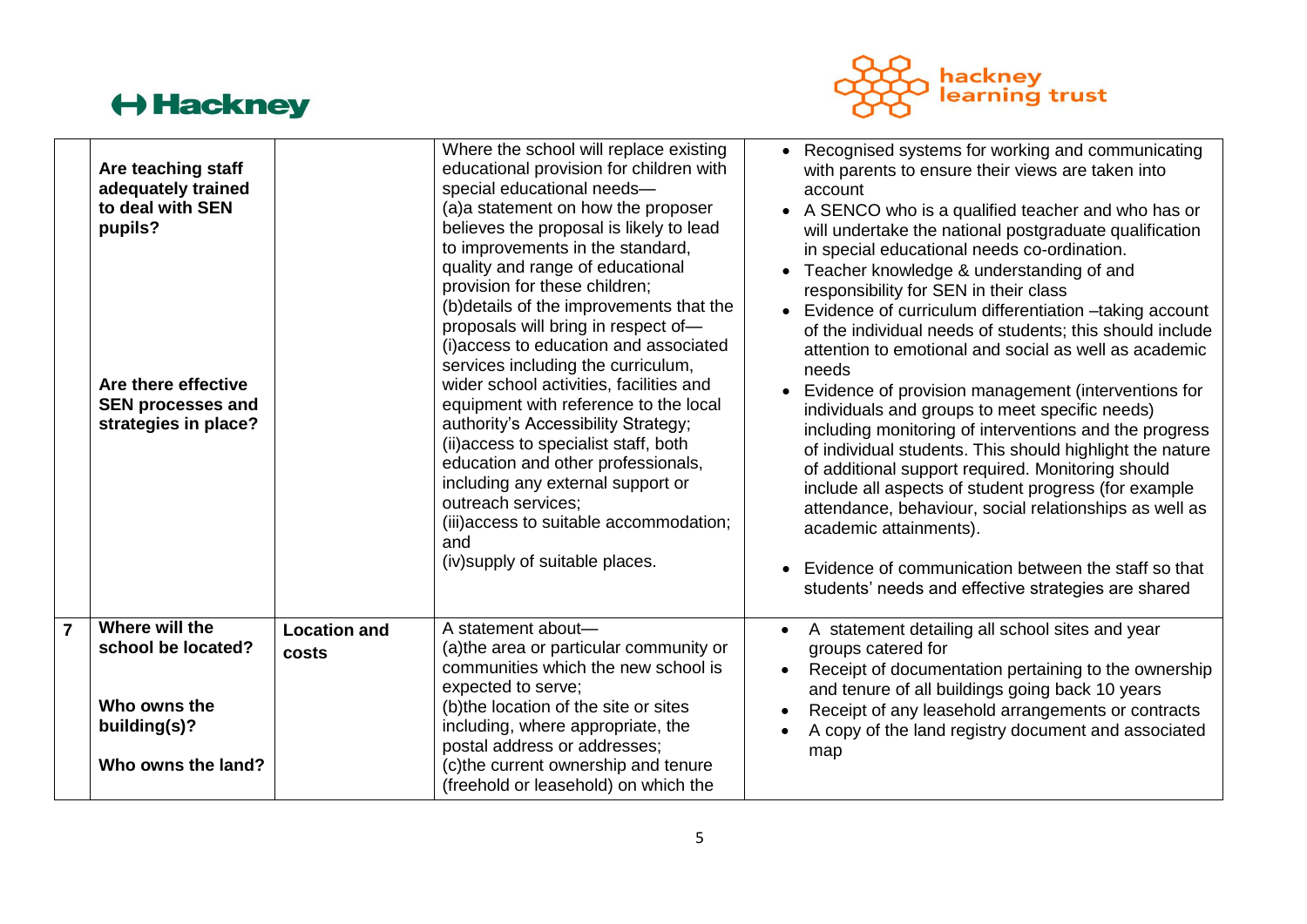

| Are teaching staff<br>adequately trained<br>to deal with SEN<br>pupils?<br>Are there effective<br><b>SEN processes and</b><br>strategies in place? |                              | Where the school will replace existing<br>educational provision for children with<br>special educational needs-<br>(a) a statement on how the proposer<br>believes the proposal is likely to lead<br>to improvements in the standard,<br>quality and range of educational<br>provision for these children;<br>(b) details of the improvements that the<br>proposals will bring in respect of-<br>(i) access to education and associated<br>services including the curriculum,<br>wider school activities, facilities and<br>equipment with reference to the local<br>authority's Accessibility Strategy;<br>(ii) access to specialist staff, both<br>education and other professionals,<br>including any external support or<br>outreach services;<br>(iii) access to suitable accommodation;<br>and<br>(iv) supply of suitable places. | • Recognised systems for working and communicating<br>with parents to ensure their views are taken into<br>account<br>• A SENCO who is a qualified teacher and who has or<br>will undertake the national postgraduate qualification<br>in special educational needs co-ordination.<br>• Teacher knowledge & understanding of and<br>responsibility for SEN in their class<br>• Evidence of curriculum differentiation -taking account<br>of the individual needs of students; this should include<br>attention to emotional and social as well as academic<br>needs<br>• Evidence of provision management (interventions for<br>individuals and groups to meet specific needs)<br>including monitoring of interventions and the progress<br>of individual students. This should highlight the nature<br>of additional support required. Monitoring should<br>include all aspects of student progress (for example<br>attendance, behaviour, social relationships as well as<br>academic attainments).<br>Evidence of communication between the staff so that<br>students' needs and effective strategies are shared |
|----------------------------------------------------------------------------------------------------------------------------------------------------|------------------------------|-----------------------------------------------------------------------------------------------------------------------------------------------------------------------------------------------------------------------------------------------------------------------------------------------------------------------------------------------------------------------------------------------------------------------------------------------------------------------------------------------------------------------------------------------------------------------------------------------------------------------------------------------------------------------------------------------------------------------------------------------------------------------------------------------------------------------------------------|---------------------------------------------------------------------------------------------------------------------------------------------------------------------------------------------------------------------------------------------------------------------------------------------------------------------------------------------------------------------------------------------------------------------------------------------------------------------------------------------------------------------------------------------------------------------------------------------------------------------------------------------------------------------------------------------------------------------------------------------------------------------------------------------------------------------------------------------------------------------------------------------------------------------------------------------------------------------------------------------------------------------------------------------------------------------------------------------------------------------|
| Where will the<br>school be located?<br>Who owns the<br>building(s)?<br>Who owns the land?                                                         | <b>Location and</b><br>costs | A statement about-<br>(a) the area or particular community or<br>communities which the new school is<br>expected to serve;<br>(b) the location of the site or sites<br>including, where appropriate, the<br>postal address or addresses;<br>(c)the current ownership and tenure<br>(freehold or leasehold) on which the                                                                                                                                                                                                                                                                                                                                                                                                                                                                                                                 | A statement detailing all school sites and year<br>groups catered for<br>Receipt of documentation pertaining to the ownership<br>and tenure of all buildings going back 10 years<br>Receipt of any leasehold arrangements or contracts<br>A copy of the land registry document and associated<br>map                                                                                                                                                                                                                                                                                                                                                                                                                                                                                                                                                                                                                                                                                                                                                                                                                |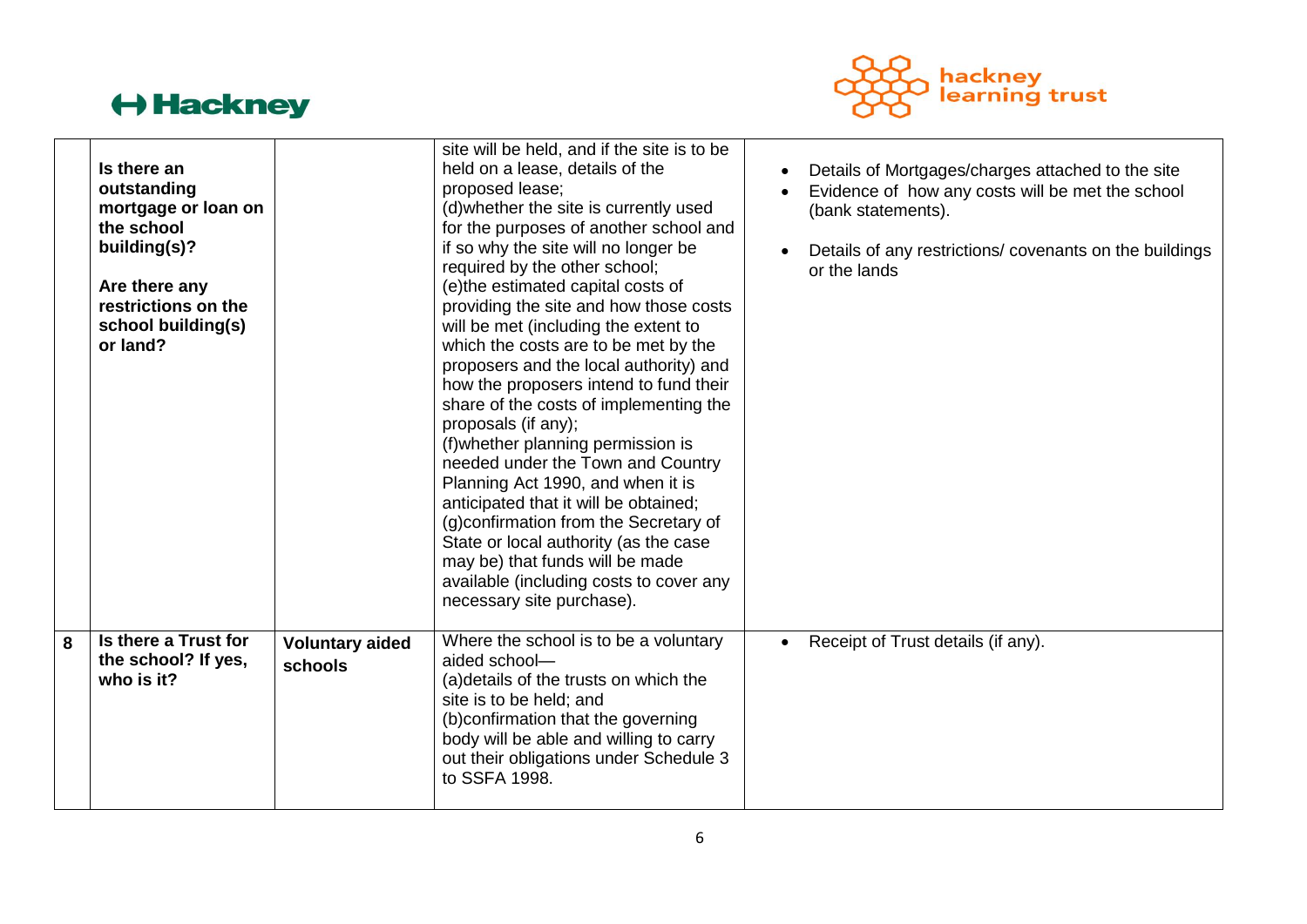

| Is there a Trust for<br>8<br>the school? If yes,<br>who is it?                                                                                            | <b>Voluntary aided</b><br>schools | how the proposers intend to fund their<br>share of the costs of implementing the<br>proposals (if any);<br>(f) whether planning permission is<br>needed under the Town and Country<br>Planning Act 1990, and when it is<br>anticipated that it will be obtained;<br>(g) confirmation from the Secretary of<br>State or local authority (as the case<br>may be) that funds will be made<br>available (including costs to cover any<br>necessary site purchase).<br>Where the school is to be a voluntary<br>aided school-<br>(a) details of the trusts on which the<br>site is to be held; and<br>(b)confirmation that the governing<br>body will be able and willing to carry | Receipt of Trust details (if any).                                                                                                                                                                    |
|-----------------------------------------------------------------------------------------------------------------------------------------------------------|-----------------------------------|-------------------------------------------------------------------------------------------------------------------------------------------------------------------------------------------------------------------------------------------------------------------------------------------------------------------------------------------------------------------------------------------------------------------------------------------------------------------------------------------------------------------------------------------------------------------------------------------------------------------------------------------------------------------------------|-------------------------------------------------------------------------------------------------------------------------------------------------------------------------------------------------------|
| Is there an<br>outstanding<br>mortgage or loan on<br>the school<br>building(s)?<br>Are there any<br>restrictions on the<br>school building(s)<br>or land? |                                   | site will be held, and if the site is to be<br>held on a lease, details of the<br>proposed lease;<br>(d) whether the site is currently used<br>for the purposes of another school and<br>if so why the site will no longer be<br>required by the other school;<br>(e)the estimated capital costs of<br>providing the site and how those costs<br>will be met (including the extent to<br>which the costs are to be met by the<br>proposers and the local authority) and                                                                                                                                                                                                       | Details of Mortgages/charges attached to the site<br>Evidence of how any costs will be met the school<br>(bank statements).<br>Details of any restrictions/covenants on the buildings<br>or the lands |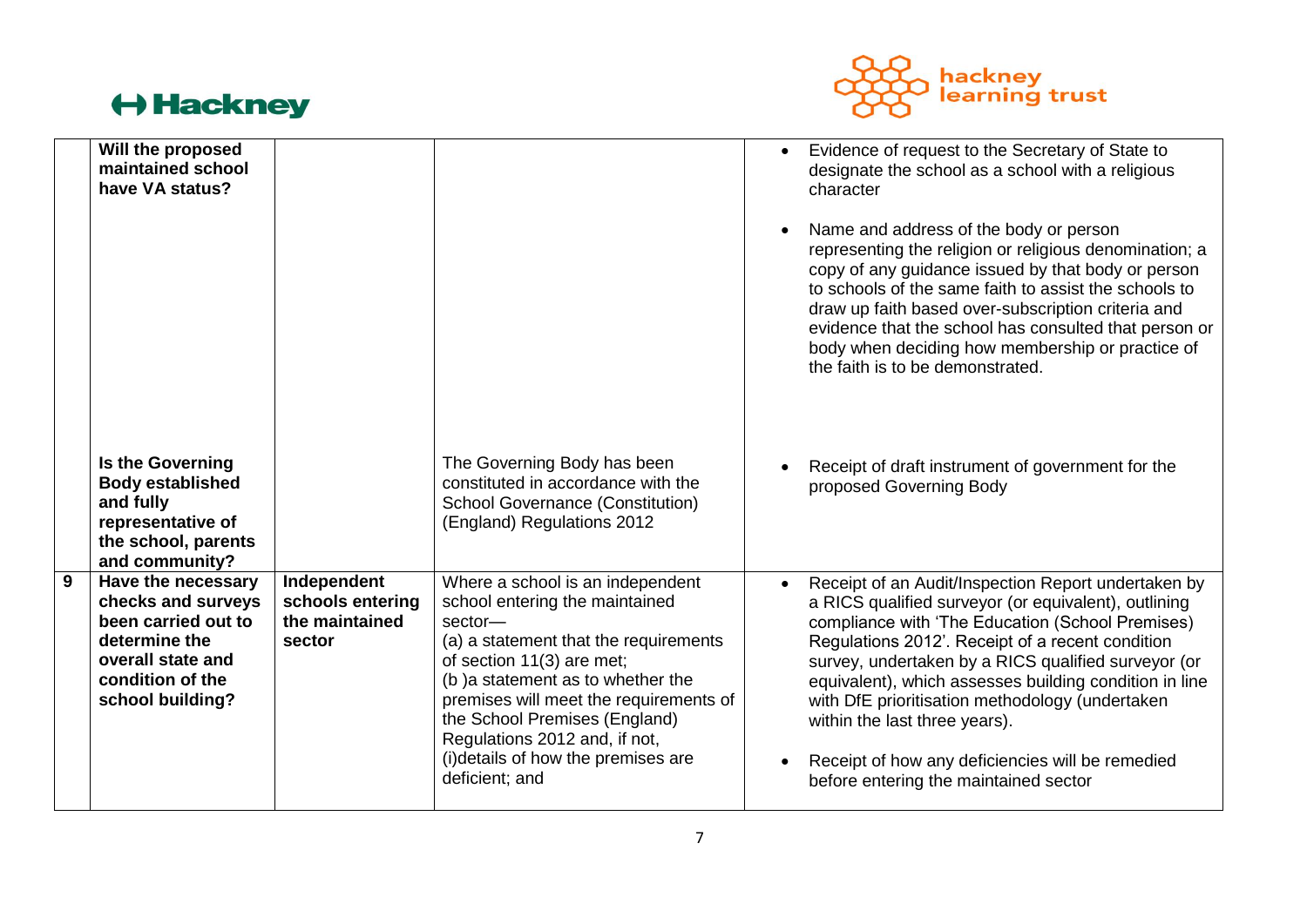

|   | Will the proposed<br>maintained school<br>have VA status?                                                                                     |                                                             |                                                                                                                                                                                                                                                                                                                                                              | $\bullet$<br>$\bullet$ | Evidence of request to the Secretary of State to<br>designate the school as a school with a religious<br>character<br>Name and address of the body or person<br>representing the religion or religious denomination; a<br>copy of any guidance issued by that body or person<br>to schools of the same faith to assist the schools to<br>draw up faith based over-subscription criteria and<br>evidence that the school has consulted that person or<br>body when deciding how membership or practice of<br>the faith is to be demonstrated. |
|---|-----------------------------------------------------------------------------------------------------------------------------------------------|-------------------------------------------------------------|--------------------------------------------------------------------------------------------------------------------------------------------------------------------------------------------------------------------------------------------------------------------------------------------------------------------------------------------------------------|------------------------|----------------------------------------------------------------------------------------------------------------------------------------------------------------------------------------------------------------------------------------------------------------------------------------------------------------------------------------------------------------------------------------------------------------------------------------------------------------------------------------------------------------------------------------------|
|   | Is the Governing<br><b>Body established</b><br>and fully<br>representative of<br>the school, parents<br>and community?                        |                                                             | The Governing Body has been<br>constituted in accordance with the<br><b>School Governance (Constitution)</b><br>(England) Regulations 2012                                                                                                                                                                                                                   |                        | Receipt of draft instrument of government for the<br>proposed Governing Body                                                                                                                                                                                                                                                                                                                                                                                                                                                                 |
| 9 | Have the necessary<br>checks and surveys<br>been carried out to<br>determine the<br>overall state and<br>condition of the<br>school building? | Independent<br>schools entering<br>the maintained<br>sector | Where a school is an independent<br>school entering the maintained<br>sector-<br>(a) a statement that the requirements<br>of section 11(3) are met;<br>(b) a statement as to whether the<br>premises will meet the requirements of<br>the School Premises (England)<br>Regulations 2012 and, if not,<br>(i)details of how the premises are<br>deficient; and | $\bullet$              | Receipt of an Audit/Inspection Report undertaken by<br>a RICS qualified surveyor (or equivalent), outlining<br>compliance with 'The Education (School Premises)<br>Regulations 2012'. Receipt of a recent condition<br>survey, undertaken by a RICS qualified surveyor (or<br>equivalent), which assesses building condition in line<br>with DfE prioritisation methodology (undertaken<br>within the last three years).<br>Receipt of how any deficiencies will be remedied<br>before entering the maintained sector                        |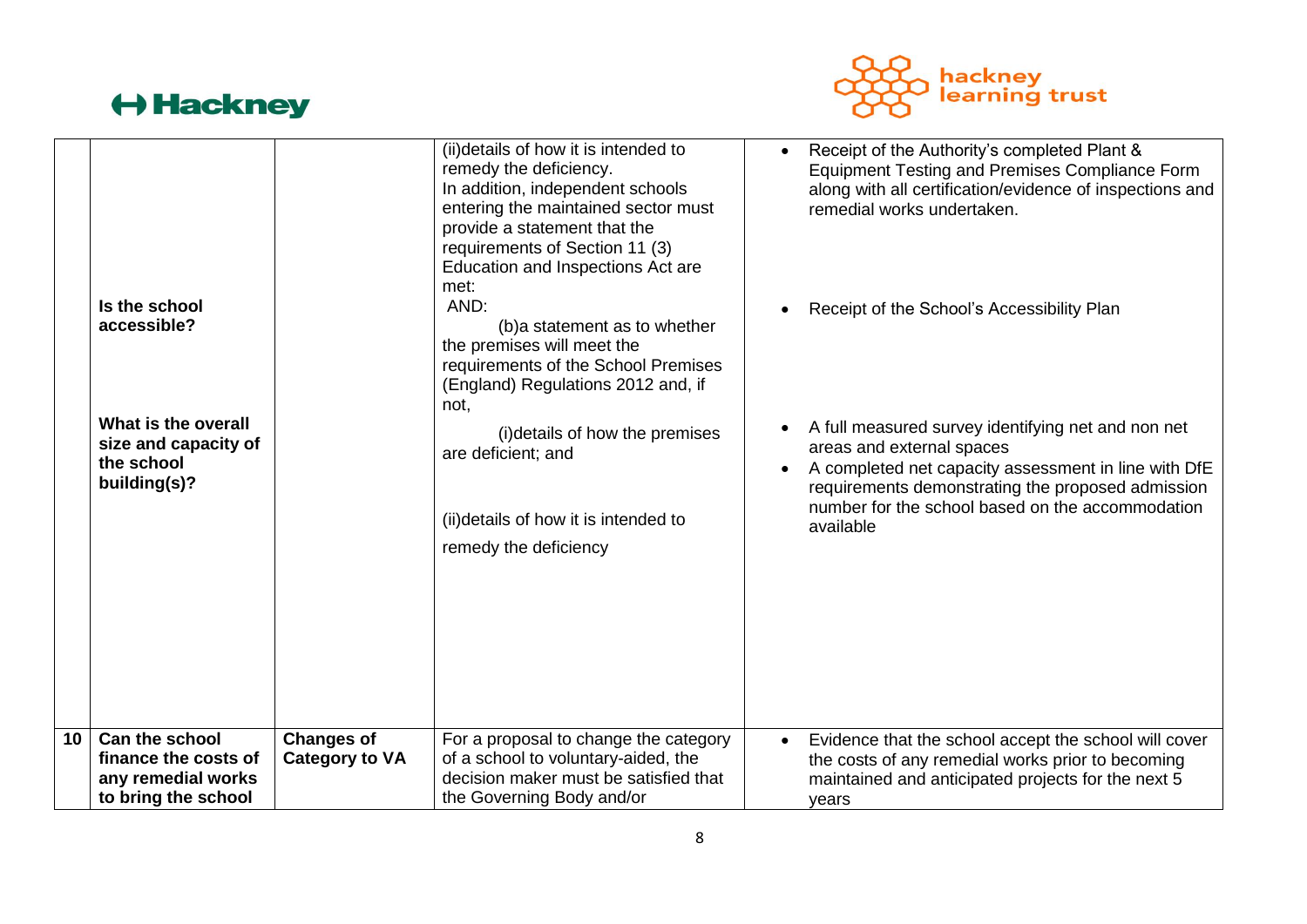

|    | Is the school<br>accessible?<br>What is the overall<br>size and capacity of<br>the school<br>building(s)? |                                            | (ii)details of how it is intended to<br>remedy the deficiency.<br>In addition, independent schools<br>entering the maintained sector must<br>provide a statement that the<br>requirements of Section 11 (3)<br>Education and Inspections Act are<br>met:<br>AND:<br>(b) a statement as to whether<br>the premises will meet the<br>requirements of the School Premises<br>(England) Regulations 2012 and, if<br>not,<br>(i) details of how the premises<br>are deficient; and<br>(ii)details of how it is intended to<br>remedy the deficiency |           | Receipt of the Authority's completed Plant &<br><b>Equipment Testing and Premises Compliance Form</b><br>along with all certification/evidence of inspections and<br>remedial works undertaken.<br>Receipt of the School's Accessibility Plan<br>A full measured survey identifying net and non net<br>areas and external spaces<br>A completed net capacity assessment in line with DfE<br>requirements demonstrating the proposed admission<br>number for the school based on the accommodation<br>available |
|----|-----------------------------------------------------------------------------------------------------------|--------------------------------------------|------------------------------------------------------------------------------------------------------------------------------------------------------------------------------------------------------------------------------------------------------------------------------------------------------------------------------------------------------------------------------------------------------------------------------------------------------------------------------------------------------------------------------------------------|-----------|----------------------------------------------------------------------------------------------------------------------------------------------------------------------------------------------------------------------------------------------------------------------------------------------------------------------------------------------------------------------------------------------------------------------------------------------------------------------------------------------------------------|
| 10 | Can the school<br>finance the costs of<br>any remedial works<br>to bring the school                       | <b>Changes of</b><br><b>Category to VA</b> | For a proposal to change the category<br>of a school to voluntary-aided, the<br>decision maker must be satisfied that<br>the Governing Body and/or                                                                                                                                                                                                                                                                                                                                                                                             | $\bullet$ | Evidence that the school accept the school will cover<br>the costs of any remedial works prior to becoming<br>maintained and anticipated projects for the next 5<br>years                                                                                                                                                                                                                                                                                                                                      |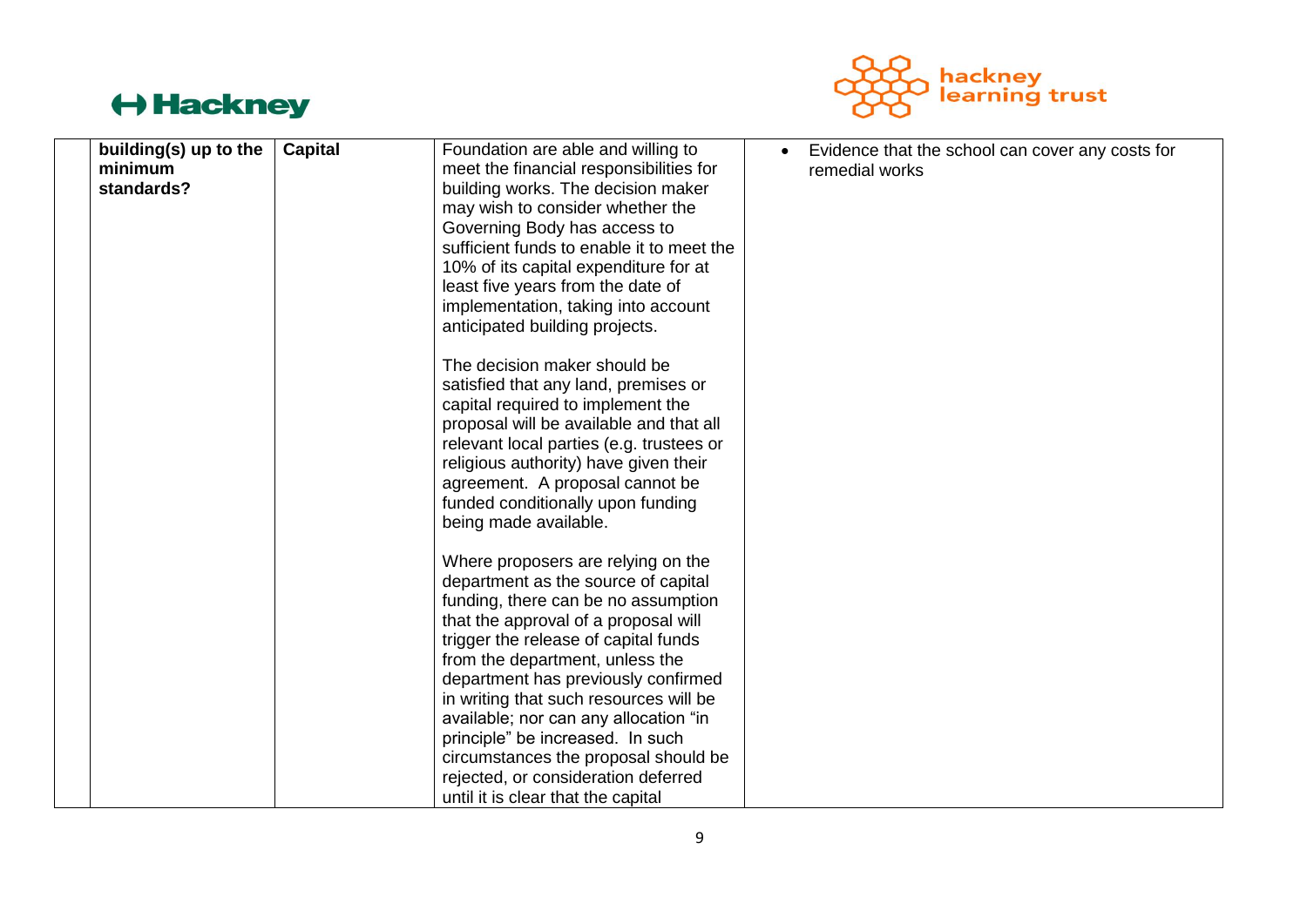

| building(s) up to the<br>minimum | <b>Capital</b> | Foundation are able and willing to<br>meet the financial responsibilities for | Evidence that the school can cover any costs for<br>remedial works |
|----------------------------------|----------------|-------------------------------------------------------------------------------|--------------------------------------------------------------------|
| standards?                       |                | building works. The decision maker                                            |                                                                    |
|                                  |                | may wish to consider whether the                                              |                                                                    |
|                                  |                | Governing Body has access to                                                  |                                                                    |
|                                  |                | sufficient funds to enable it to meet the                                     |                                                                    |
|                                  |                |                                                                               |                                                                    |
|                                  |                | 10% of its capital expenditure for at                                         |                                                                    |
|                                  |                | least five years from the date of                                             |                                                                    |
|                                  |                | implementation, taking into account                                           |                                                                    |
|                                  |                | anticipated building projects.                                                |                                                                    |
|                                  |                | The decision maker should be                                                  |                                                                    |
|                                  |                | satisfied that any land, premises or                                          |                                                                    |
|                                  |                | capital required to implement the                                             |                                                                    |
|                                  |                | proposal will be available and that all                                       |                                                                    |
|                                  |                | relevant local parties (e.g. trustees or                                      |                                                                    |
|                                  |                | religious authority) have given their                                         |                                                                    |
|                                  |                | agreement. A proposal cannot be                                               |                                                                    |
|                                  |                | funded conditionally upon funding                                             |                                                                    |
|                                  |                | being made available.                                                         |                                                                    |
|                                  |                | Where proposers are relying on the                                            |                                                                    |
|                                  |                | department as the source of capital                                           |                                                                    |
|                                  |                | funding, there can be no assumption                                           |                                                                    |
|                                  |                | that the approval of a proposal will                                          |                                                                    |
|                                  |                | trigger the release of capital funds                                          |                                                                    |
|                                  |                | from the department, unless the                                               |                                                                    |
|                                  |                | department has previously confirmed                                           |                                                                    |
|                                  |                | in writing that such resources will be                                        |                                                                    |
|                                  |                | available; nor can any allocation "in                                         |                                                                    |
|                                  |                | principle" be increased. In such                                              |                                                                    |
|                                  |                | circumstances the proposal should be                                          |                                                                    |
|                                  |                | rejected, or consideration deferred                                           |                                                                    |
|                                  |                |                                                                               |                                                                    |
|                                  |                | until it is clear that the capital                                            |                                                                    |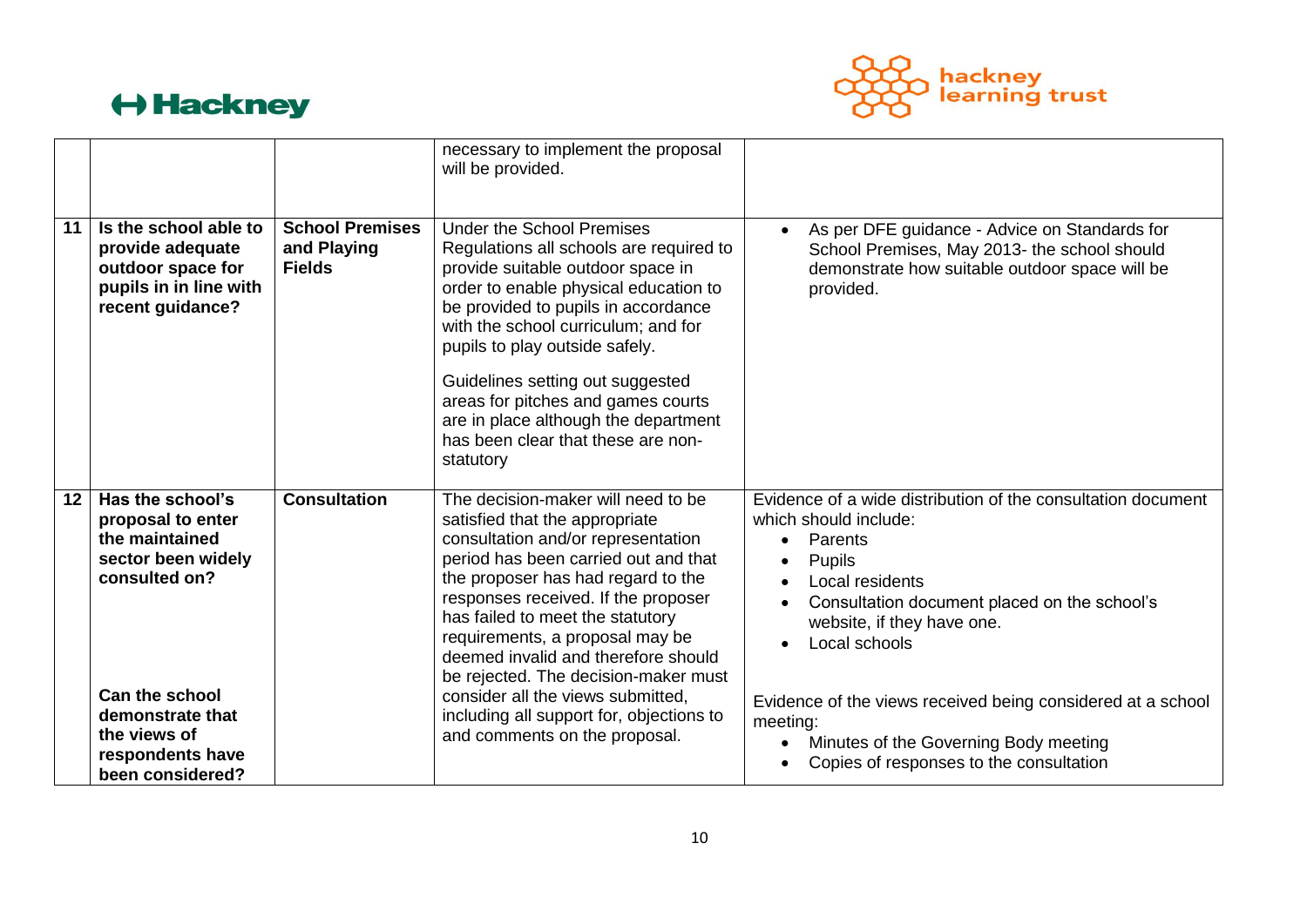

|    |                                                                                                                                                                                              |                                                        | necessary to implement the proposal<br>will be provided.                                                                                                                                                                                                                                                                                                                                                                                                                                                |                                                                                                                                                                                                                                                                                                                                                                                                          |
|----|----------------------------------------------------------------------------------------------------------------------------------------------------------------------------------------------|--------------------------------------------------------|---------------------------------------------------------------------------------------------------------------------------------------------------------------------------------------------------------------------------------------------------------------------------------------------------------------------------------------------------------------------------------------------------------------------------------------------------------------------------------------------------------|----------------------------------------------------------------------------------------------------------------------------------------------------------------------------------------------------------------------------------------------------------------------------------------------------------------------------------------------------------------------------------------------------------|
| 11 | Is the school able to<br>provide adequate<br>outdoor space for<br>pupils in in line with<br>recent guidance?                                                                                 | <b>School Premises</b><br>and Playing<br><b>Fields</b> | <b>Under the School Premises</b><br>Regulations all schools are required to<br>provide suitable outdoor space in<br>order to enable physical education to<br>be provided to pupils in accordance<br>with the school curriculum; and for<br>pupils to play outside safely.<br>Guidelines setting out suggested<br>areas for pitches and games courts<br>are in place although the department<br>has been clear that these are non-<br>statutory                                                          | As per DFE guidance - Advice on Standards for<br>School Premises, May 2013- the school should<br>demonstrate how suitable outdoor space will be<br>provided.                                                                                                                                                                                                                                             |
| 12 | Has the school's<br>proposal to enter<br>the maintained<br>sector been widely<br>consulted on?<br>Can the school<br>demonstrate that<br>the views of<br>respondents have<br>been considered? | <b>Consultation</b>                                    | The decision-maker will need to be<br>satisfied that the appropriate<br>consultation and/or representation<br>period has been carried out and that<br>the proposer has had regard to the<br>responses received. If the proposer<br>has failed to meet the statutory<br>requirements, a proposal may be<br>deemed invalid and therefore should<br>be rejected. The decision-maker must<br>consider all the views submitted,<br>including all support for, objections to<br>and comments on the proposal. | Evidence of a wide distribution of the consultation document<br>which should include:<br>Parents<br>$\bullet$<br>Pupils<br>Local residents<br>Consultation document placed on the school's<br>website, if they have one.<br>Local schools<br>Evidence of the views received being considered at a school<br>meeting:<br>Minutes of the Governing Body meeting<br>Copies of responses to the consultation |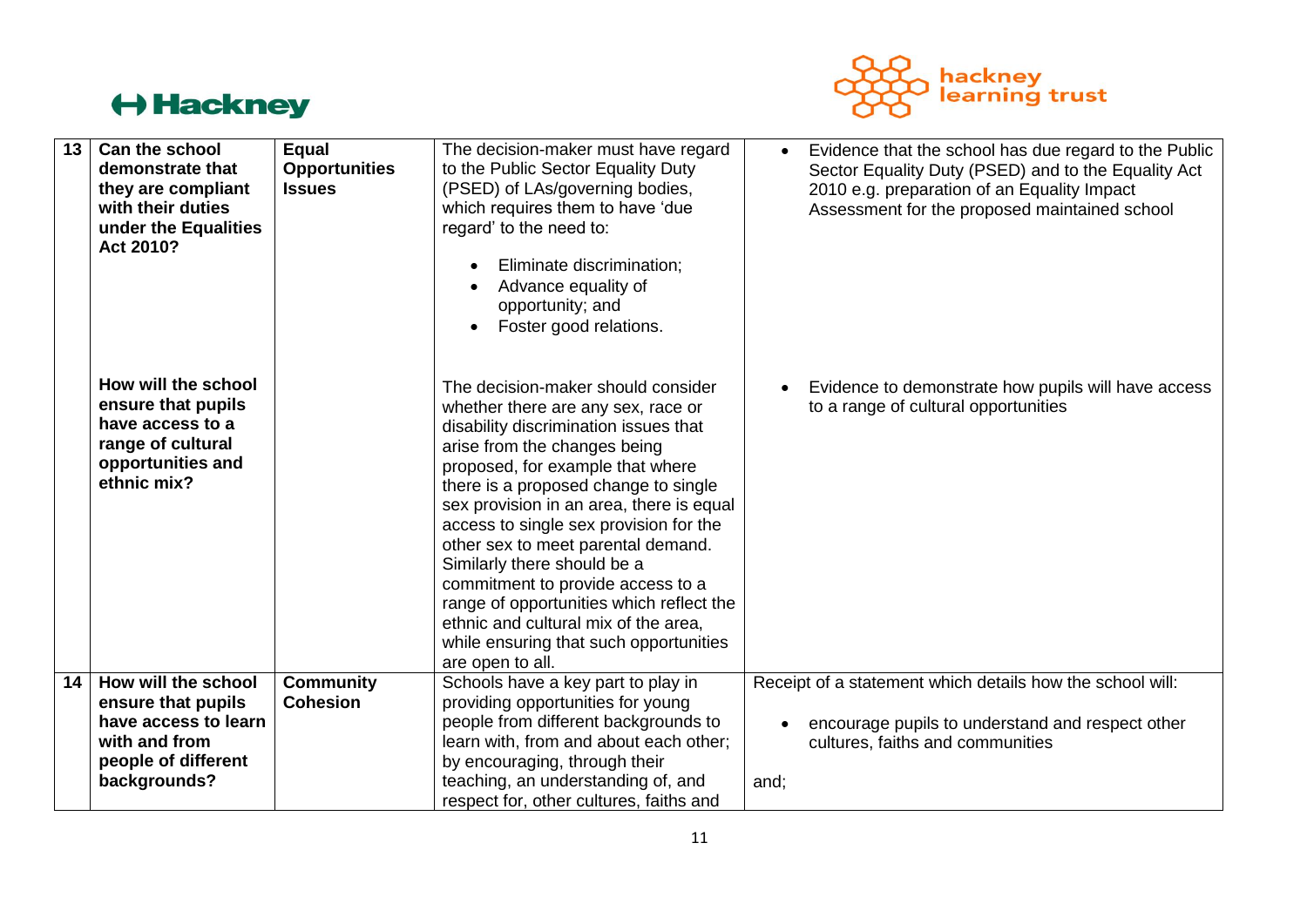

| 13 | Can the school<br>demonstrate that<br>they are compliant<br>with their duties<br>under the Equalities<br>Act 2010?     | Equal<br><b>Opportunities</b><br><b>Issues</b> | The decision-maker must have regard<br>to the Public Sector Equality Duty<br>(PSED) of LAs/governing bodies,<br>which requires them to have 'due<br>regard' to the need to:<br>Eliminate discrimination;<br>Advance equality of<br>opportunity; and<br>Foster good relations.                                                                                                                                                                                                                                                                                                   | Evidence that the school has due regard to the Public<br>$\bullet$<br>Sector Equality Duty (PSED) and to the Equality Act<br>2010 e.g. preparation of an Equality Impact<br>Assessment for the proposed maintained school |
|----|------------------------------------------------------------------------------------------------------------------------|------------------------------------------------|---------------------------------------------------------------------------------------------------------------------------------------------------------------------------------------------------------------------------------------------------------------------------------------------------------------------------------------------------------------------------------------------------------------------------------------------------------------------------------------------------------------------------------------------------------------------------------|---------------------------------------------------------------------------------------------------------------------------------------------------------------------------------------------------------------------------|
|    | How will the school<br>ensure that pupils<br>have access to a<br>range of cultural<br>opportunities and<br>ethnic mix? |                                                | The decision-maker should consider<br>whether there are any sex, race or<br>disability discrimination issues that<br>arise from the changes being<br>proposed, for example that where<br>there is a proposed change to single<br>sex provision in an area, there is equal<br>access to single sex provision for the<br>other sex to meet parental demand.<br>Similarly there should be a<br>commitment to provide access to a<br>range of opportunities which reflect the<br>ethnic and cultural mix of the area,<br>while ensuring that such opportunities<br>are open to all. | Evidence to demonstrate how pupils will have access<br>to a range of cultural opportunities                                                                                                                               |
| 14 | How will the school                                                                                                    | <b>Community</b><br><b>Cohesion</b>            | Schools have a key part to play in                                                                                                                                                                                                                                                                                                                                                                                                                                                                                                                                              | Receipt of a statement which details how the school will:                                                                                                                                                                 |
|    | ensure that pupils<br>have access to learn                                                                             |                                                | providing opportunities for young<br>people from different backgrounds to                                                                                                                                                                                                                                                                                                                                                                                                                                                                                                       | encourage pupils to understand and respect other                                                                                                                                                                          |
|    | with and from                                                                                                          |                                                | learn with, from and about each other;                                                                                                                                                                                                                                                                                                                                                                                                                                                                                                                                          | cultures, faiths and communities                                                                                                                                                                                          |
|    | people of different                                                                                                    |                                                | by encouraging, through their                                                                                                                                                                                                                                                                                                                                                                                                                                                                                                                                                   |                                                                                                                                                                                                                           |
|    | backgrounds?                                                                                                           |                                                | teaching, an understanding of, and                                                                                                                                                                                                                                                                                                                                                                                                                                                                                                                                              | and;                                                                                                                                                                                                                      |
|    |                                                                                                                        |                                                | respect for, other cultures, faiths and                                                                                                                                                                                                                                                                                                                                                                                                                                                                                                                                         |                                                                                                                                                                                                                           |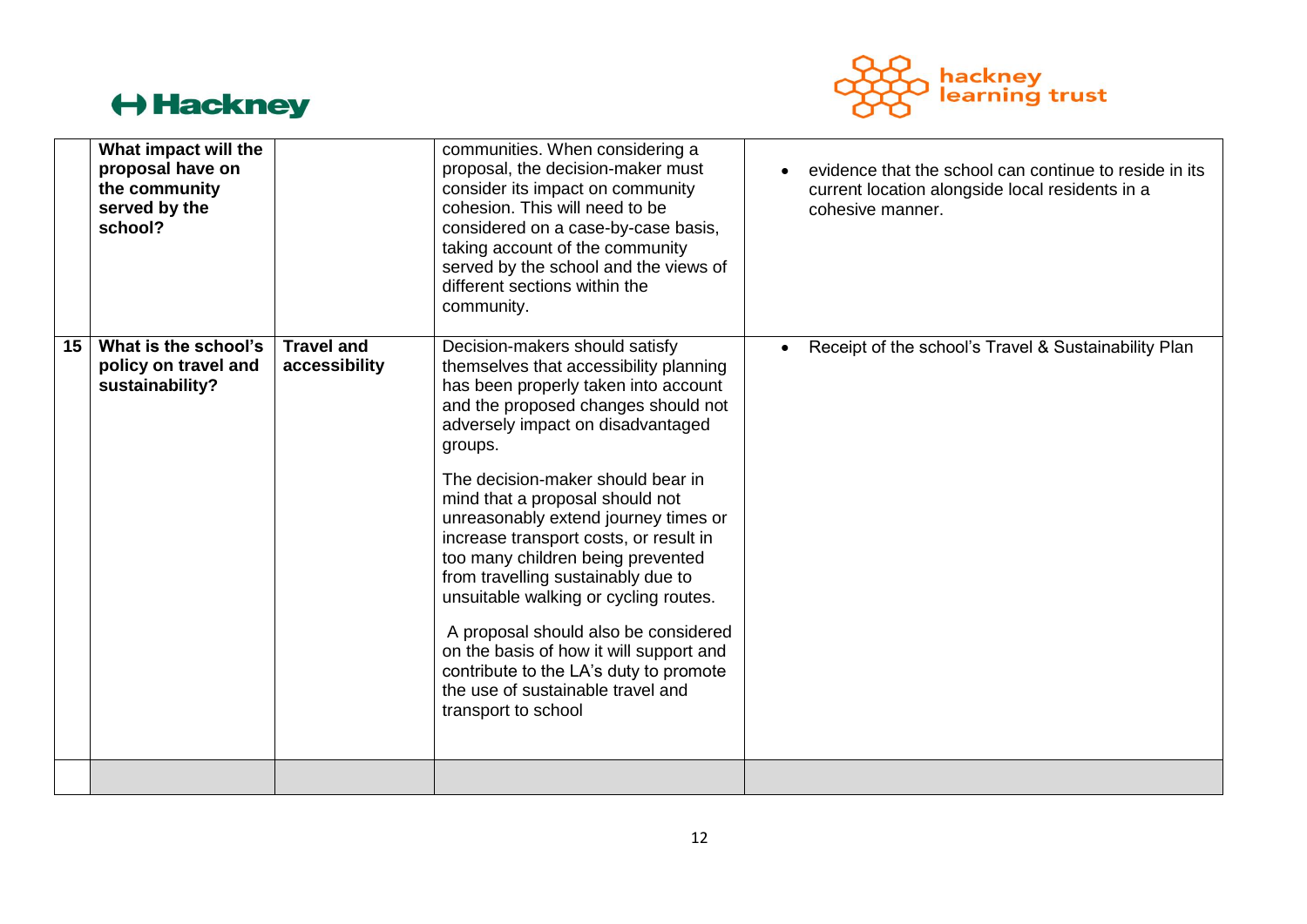

|    | What impact will the<br>proposal have on<br>the community<br>served by the<br>school? |                                    | communities. When considering a<br>proposal, the decision-maker must<br>consider its impact on community<br>cohesion. This will need to be<br>considered on a case-by-case basis,<br>taking account of the community<br>served by the school and the views of<br>different sections within the<br>community.                                                                                                                                                                                                                                                                                                                                                                   | evidence that the school can continue to reside in its<br>current location alongside local residents in a<br>cohesive manner. |
|----|---------------------------------------------------------------------------------------|------------------------------------|--------------------------------------------------------------------------------------------------------------------------------------------------------------------------------------------------------------------------------------------------------------------------------------------------------------------------------------------------------------------------------------------------------------------------------------------------------------------------------------------------------------------------------------------------------------------------------------------------------------------------------------------------------------------------------|-------------------------------------------------------------------------------------------------------------------------------|
| 15 | What is the school's<br>policy on travel and<br>sustainability?                       | <b>Travel and</b><br>accessibility | Decision-makers should satisfy<br>themselves that accessibility planning<br>has been properly taken into account<br>and the proposed changes should not<br>adversely impact on disadvantaged<br>groups.<br>The decision-maker should bear in<br>mind that a proposal should not<br>unreasonably extend journey times or<br>increase transport costs, or result in<br>too many children being prevented<br>from travelling sustainably due to<br>unsuitable walking or cycling routes.<br>A proposal should also be considered<br>on the basis of how it will support and<br>contribute to the LA's duty to promote<br>the use of sustainable travel and<br>transport to school | • Receipt of the school's Travel & Sustainability Plan                                                                        |
|    |                                                                                       |                                    |                                                                                                                                                                                                                                                                                                                                                                                                                                                                                                                                                                                                                                                                                |                                                                                                                               |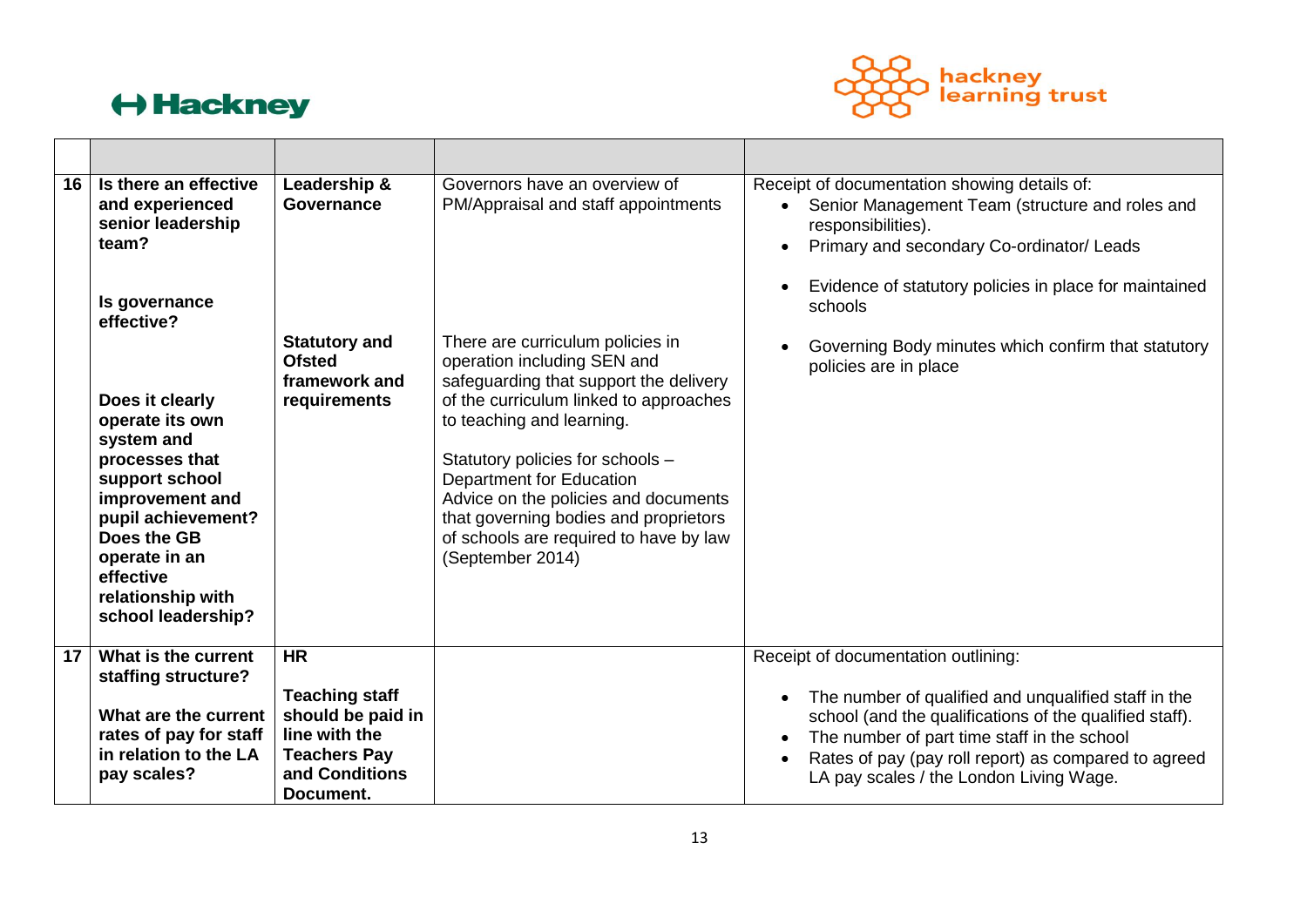

| 16 | Is there an effective<br>and experienced<br>senior leadership<br>team?<br>Is governance<br>effective?<br>Does it clearly<br>operate its own<br>system and<br>processes that<br>support school<br>improvement and<br>pupil achievement?<br>Does the GB<br>operate in an<br>effective<br>relationship with<br>school leadership? | Leadership &<br><b>Governance</b><br><b>Statutory and</b><br><b>Ofsted</b><br>framework and<br>requirements | Governors have an overview of<br>PM/Appraisal and staff appointments<br>There are curriculum policies in<br>operation including SEN and<br>safeguarding that support the delivery<br>of the curriculum linked to approaches<br>to teaching and learning.<br>Statutory policies for schools -<br>Department for Education<br>Advice on the policies and documents<br>that governing bodies and proprietors<br>of schools are required to have by law<br>(September 2014) | Receipt of documentation showing details of:<br>Senior Management Team (structure and roles and<br>responsibilities).<br>Primary and secondary Co-ordinator/ Leads<br>Evidence of statutory policies in place for maintained<br>schools<br>Governing Body minutes which confirm that statutory<br>policies are in place |
|----|--------------------------------------------------------------------------------------------------------------------------------------------------------------------------------------------------------------------------------------------------------------------------------------------------------------------------------|-------------------------------------------------------------------------------------------------------------|-------------------------------------------------------------------------------------------------------------------------------------------------------------------------------------------------------------------------------------------------------------------------------------------------------------------------------------------------------------------------------------------------------------------------------------------------------------------------|-------------------------------------------------------------------------------------------------------------------------------------------------------------------------------------------------------------------------------------------------------------------------------------------------------------------------|
|    |                                                                                                                                                                                                                                                                                                                                |                                                                                                             |                                                                                                                                                                                                                                                                                                                                                                                                                                                                         |                                                                                                                                                                                                                                                                                                                         |
| 17 | What is the current<br>staffing structure?                                                                                                                                                                                                                                                                                     | <b>HR</b><br><b>Teaching staff</b>                                                                          |                                                                                                                                                                                                                                                                                                                                                                                                                                                                         | Receipt of documentation outlining:<br>The number of qualified and unqualified staff in the<br>$\bullet$                                                                                                                                                                                                                |
|    | What are the current<br>rates of pay for staff<br>in relation to the LA<br>pay scales?                                                                                                                                                                                                                                         | should be paid in<br>line with the<br><b>Teachers Pay</b><br>and Conditions<br>Document.                    |                                                                                                                                                                                                                                                                                                                                                                                                                                                                         | school (and the qualifications of the qualified staff).<br>The number of part time staff in the school<br>Rates of pay (pay roll report) as compared to agreed<br>LA pay scales / the London Living Wage.                                                                                                               |